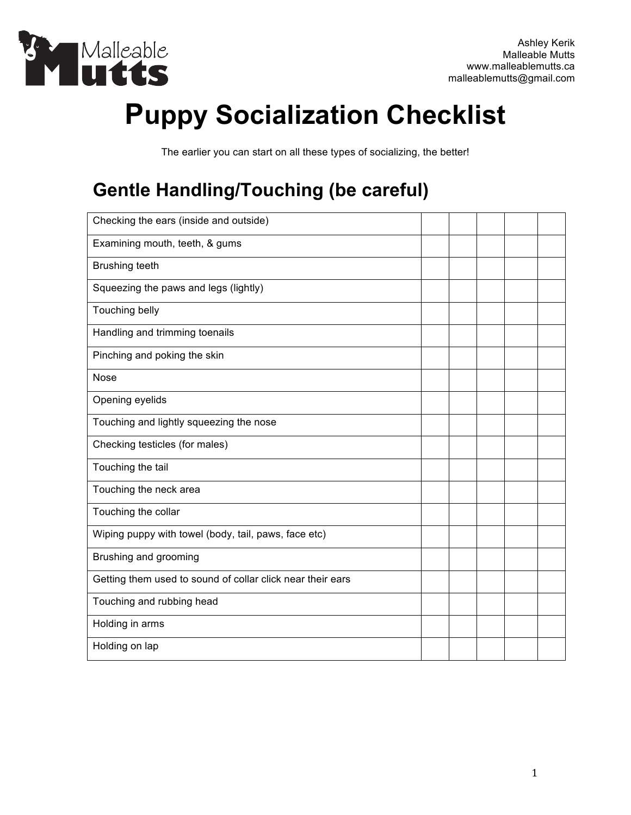

# **Puppy Socialization Checklist**

The earlier you can start on all these types of socializing, the better!

## **Gentle Handling/Touching (be careful)**

| Checking the ears (inside and outside)                     |  |  |  |
|------------------------------------------------------------|--|--|--|
| Examining mouth, teeth, & gums                             |  |  |  |
| <b>Brushing teeth</b>                                      |  |  |  |
| Squeezing the paws and legs (lightly)                      |  |  |  |
| Touching belly                                             |  |  |  |
| Handling and trimming toenails                             |  |  |  |
| Pinching and poking the skin                               |  |  |  |
| <b>Nose</b>                                                |  |  |  |
| Opening eyelids                                            |  |  |  |
| Touching and lightly squeezing the nose                    |  |  |  |
| Checking testicles (for males)                             |  |  |  |
| Touching the tail                                          |  |  |  |
| Touching the neck area                                     |  |  |  |
| Touching the collar                                        |  |  |  |
| Wiping puppy with towel (body, tail, paws, face etc)       |  |  |  |
| Brushing and grooming                                      |  |  |  |
| Getting them used to sound of collar click near their ears |  |  |  |
| Touching and rubbing head                                  |  |  |  |
| Holding in arms                                            |  |  |  |
| Holding on lap                                             |  |  |  |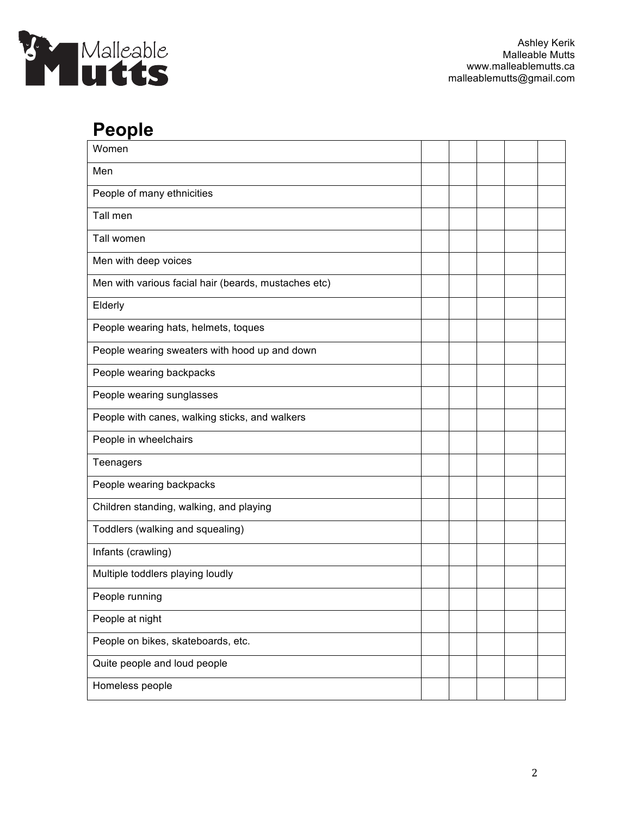

#### **People**

| Women                                                |  |  |  |
|------------------------------------------------------|--|--|--|
| Men                                                  |  |  |  |
| People of many ethnicities                           |  |  |  |
| Tall men                                             |  |  |  |
| Tall women                                           |  |  |  |
| Men with deep voices                                 |  |  |  |
| Men with various facial hair (beards, mustaches etc) |  |  |  |
| Elderly                                              |  |  |  |
| People wearing hats, helmets, toques                 |  |  |  |
| People wearing sweaters with hood up and down        |  |  |  |
| People wearing backpacks                             |  |  |  |
| People wearing sunglasses                            |  |  |  |
| People with canes, walking sticks, and walkers       |  |  |  |
| People in wheelchairs                                |  |  |  |
| Teenagers                                            |  |  |  |
| People wearing backpacks                             |  |  |  |
| Children standing, walking, and playing              |  |  |  |
| Toddlers (walking and squealing)                     |  |  |  |
| Infants (crawling)                                   |  |  |  |
| Multiple toddlers playing loudly                     |  |  |  |
| People running                                       |  |  |  |
| People at night                                      |  |  |  |
| People on bikes, skateboards, etc.                   |  |  |  |
| Quite people and loud people                         |  |  |  |
| Homeless people                                      |  |  |  |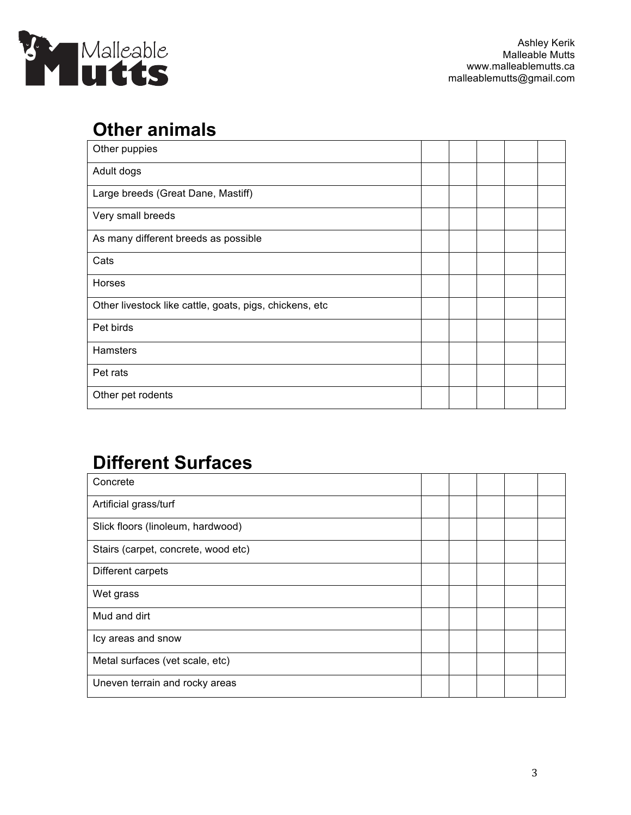

#### **Other animals**

| Other puppies                                           |  |  |  |
|---------------------------------------------------------|--|--|--|
| Adult dogs                                              |  |  |  |
| Large breeds (Great Dane, Mastiff)                      |  |  |  |
| Very small breeds                                       |  |  |  |
| As many different breeds as possible                    |  |  |  |
| Cats                                                    |  |  |  |
| Horses                                                  |  |  |  |
| Other livestock like cattle, goats, pigs, chickens, etc |  |  |  |
| Pet birds                                               |  |  |  |
| Hamsters                                                |  |  |  |
| Pet rats                                                |  |  |  |
| Other pet rodents                                       |  |  |  |

## **Different Surfaces**

| Concrete                            |  |  |  |
|-------------------------------------|--|--|--|
| Artificial grass/turf               |  |  |  |
| Slick floors (linoleum, hardwood)   |  |  |  |
| Stairs (carpet, concrete, wood etc) |  |  |  |
| Different carpets                   |  |  |  |
| Wet grass                           |  |  |  |
| Mud and dirt                        |  |  |  |
| Icy areas and snow                  |  |  |  |
| Metal surfaces (vet scale, etc)     |  |  |  |
| Uneven terrain and rocky areas      |  |  |  |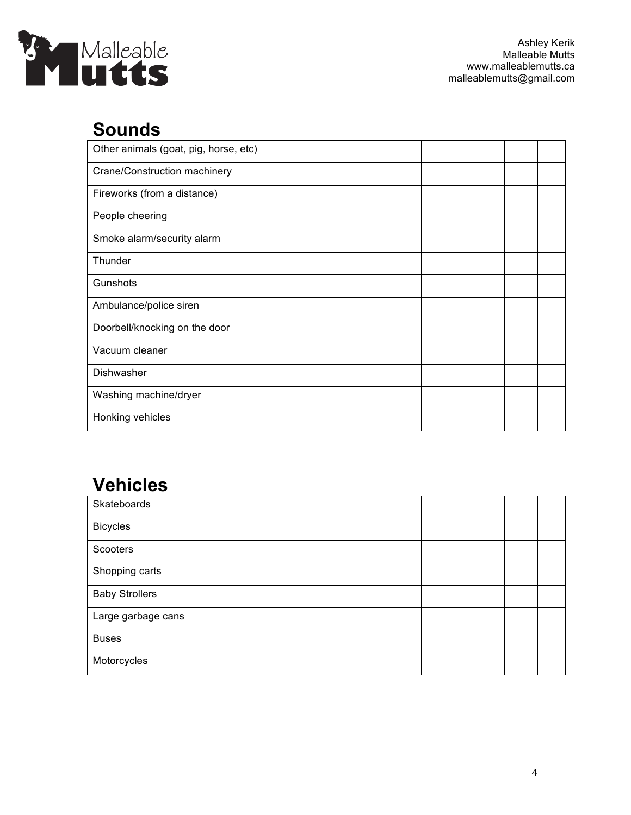

#### **Sounds**

| Other animals (goat, pig, horse, etc) |  |  |  |
|---------------------------------------|--|--|--|
| Crane/Construction machinery          |  |  |  |
| Fireworks (from a distance)           |  |  |  |
| People cheering                       |  |  |  |
| Smoke alarm/security alarm            |  |  |  |
| Thunder                               |  |  |  |
| Gunshots                              |  |  |  |
| Ambulance/police siren                |  |  |  |
| Doorbell/knocking on the door         |  |  |  |
| Vacuum cleaner                        |  |  |  |
| Dishwasher                            |  |  |  |
| Washing machine/dryer                 |  |  |  |
| Honking vehicles                      |  |  |  |

## **Vehicles**

| Skateboards           |  |  |  |
|-----------------------|--|--|--|
| <b>Bicycles</b>       |  |  |  |
| Scooters              |  |  |  |
| Shopping carts        |  |  |  |
| <b>Baby Strollers</b> |  |  |  |
| Large garbage cans    |  |  |  |
| <b>Buses</b>          |  |  |  |
| Motorcycles           |  |  |  |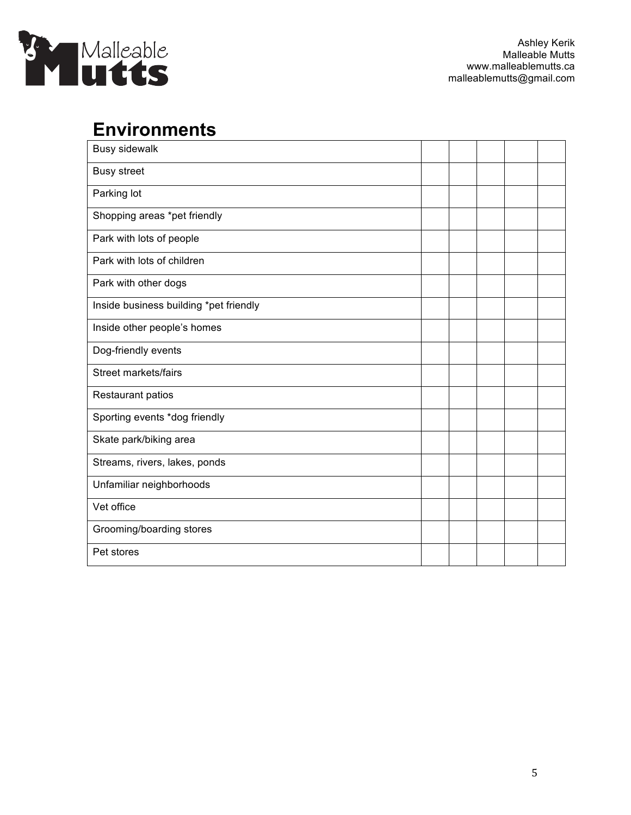

### **Environments**

| <b>Busy sidewalk</b>                   |  |  |  |
|----------------------------------------|--|--|--|
| <b>Busy street</b>                     |  |  |  |
| Parking lot                            |  |  |  |
| Shopping areas *pet friendly           |  |  |  |
| Park with lots of people               |  |  |  |
| Park with lots of children             |  |  |  |
| Park with other dogs                   |  |  |  |
| Inside business building *pet friendly |  |  |  |
| Inside other people's homes            |  |  |  |
| Dog-friendly events                    |  |  |  |
| Street markets/fairs                   |  |  |  |
| Restaurant patios                      |  |  |  |
| Sporting events *dog friendly          |  |  |  |
| Skate park/biking area                 |  |  |  |
| Streams, rivers, lakes, ponds          |  |  |  |
| Unfamiliar neighborhoods               |  |  |  |
| Vet office                             |  |  |  |
| Grooming/boarding stores               |  |  |  |
| Pet stores                             |  |  |  |